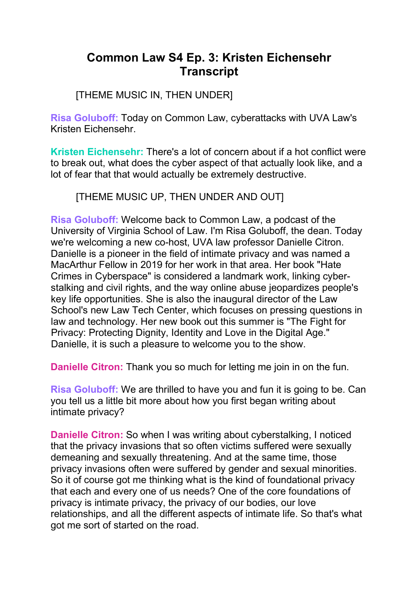# **Common Law S4 Ep. 3: Kristen Eichensehr Transcript**

[THEME MUSIC IN, THEN UNDER]

**Risa Goluboff:** Today on Common Law, cyberattacks with UVA Law's Kristen Eichensehr.

**Kristen Eichensehr:** There's a lot of concern about if a hot conflict were to break out, what does the cyber aspect of that actually look like, and a lot of fear that that would actually be extremely destructive.

[THEME MUSIC UP, THEN UNDER AND OUT]

**Risa Goluboff:** Welcome back to Common Law, a podcast of the University of Virginia School of Law. I'm Risa Goluboff, the dean. Today we're welcoming a new co-host, UVA law professor Danielle Citron. Danielle is a pioneer in the field of intimate privacy and was named a MacArthur Fellow in 2019 for her work in that area. Her book "Hate Crimes in Cyberspace" is considered a landmark work, linking cyberstalking and civil rights, and the way online abuse jeopardizes people's key life opportunities. She is also the inaugural director of the Law School's new Law Tech Center, which focuses on pressing questions in law and technology. Her new book out this summer is "The Fight for Privacy: Protecting Dignity, Identity and Love in the Digital Age." Danielle, it is such a pleasure to welcome you to the show.

**Danielle Citron:** Thank you so much for letting me join in on the fun.

**Risa Goluboff:** We are thrilled to have you and fun it is going to be. Can you tell us a little bit more about how you first began writing about intimate privacy?

**Danielle Citron:** So when I was writing about cyberstalking, I noticed that the privacy invasions that so often victims suffered were sexually demeaning and sexually threatening. And at the same time, those privacy invasions often were suffered by gender and sexual minorities. So it of course got me thinking what is the kind of foundational privacy that each and every one of us needs? One of the core foundations of privacy is intimate privacy, the privacy of our bodies, our love relationships, and all the different aspects of intimate life. So that's what got me sort of started on the road.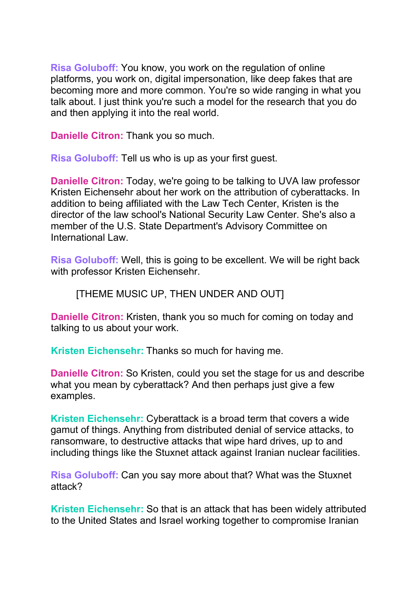**Risa Goluboff:** You know, you work on the regulation of online platforms, you work on, digital impersonation, like deep fakes that are becoming more and more common. You're so wide ranging in what you talk about. I just think you're such a model for the research that you do and then applying it into the real world.

**Danielle Citron:** Thank you so much.

**Risa Goluboff:** Tell us who is up as your first guest.

**Danielle Citron:** Today, we're going to be talking to UVA law professor Kristen Eichensehr about her work on the attribution of cyberattacks. In addition to being affiliated with the Law Tech Center, Kristen is the director of the law school's National Security Law Center. She's also a member of the U.S. State Department's Advisory Committee on International Law.

**Risa Goluboff:** Well, this is going to be excellent. We will be right back with professor Kristen Eichensehr.

[THEME MUSIC UP, THEN UNDER AND OUT]

**Danielle Citron:** Kristen, thank you so much for coming on today and talking to us about your work.

**Kristen Eichensehr:** Thanks so much for having me.

**Danielle Citron:** So Kristen, could you set the stage for us and describe what you mean by cyberattack? And then perhaps just give a few examples.

**Kristen Eichensehr:** Cyberattack is a broad term that covers a wide gamut of things. Anything from distributed denial of service attacks, to ransomware, to destructive attacks that wipe hard drives, up to and including things like the Stuxnet attack against Iranian nuclear facilities.

**Risa Goluboff:** Can you say more about that? What was the Stuxnet attack?

**Kristen Eichensehr:** So that is an attack that has been widely attributed to the United States and Israel working together to compromise Iranian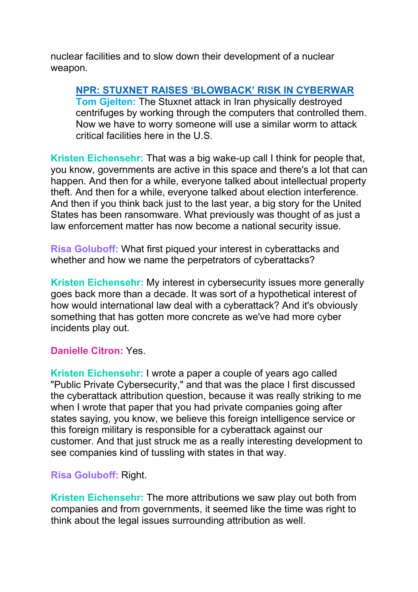nuclear facilities and to slow down their development of a nuclear weapon.

**NPR: STUXNET RAISES ['BLOWBACK'](https://www.npr.org/2011/11/03/141948772/stuxnet-poses-thorny-issue-for-cyberdefenders) RISK IN CYBERWAR Tom Gjelten:** The Stuxnet attack in Iran physically destroyed centrifuges by working through the computers that controlled them. Now we have to worry someone will use a similar worm to attack critical facilities here in the U.S.

**Kristen Eichensehr:** That was a big wake-up call I think for people that, you know, governments are active in this space and there's a lot that can happen. And then for a while, everyone talked about intellectual property theft. And then for a while, everyone talked about election interference. And then if you think back just to the last year, a big story for the United States has been ransomware. What previously was thought of as just a law enforcement matter has now become a national security issue.

**Risa Goluboff:** What first piqued your interest in cyberattacks and whether and how we name the perpetrators of cyberattacks?

**Kristen Eichensehr:** My interest in cybersecurity issues more generally goes back more than a decade. It was sort of a hypothetical interest of how would international law deal with a cyberattack? And it's obviously something that has gotten more concrete as we've had more cyber incidents play out.

#### **Danielle Citron:** Yes.

**Kristen Eichensehr:** I wrote a paper a couple of years ago called "Public Private Cybersecurity," and that was the place I first discussed the cyberattack attribution question, because it was really striking to me when I wrote that paper that you had private companies going after states saying, you know, we believe this foreign intelligence service or this foreign military is responsible for a cyberattack against our customer. And that just struck me as a really interesting development to see companies kind of tussling with states in that way.

#### **Risa Goluboff:** Right.

**Kristen Eichensehr:** The more attributions we saw play out both from companies and from governments, it seemed like the time was right to think about the legal issues surrounding attribution as well.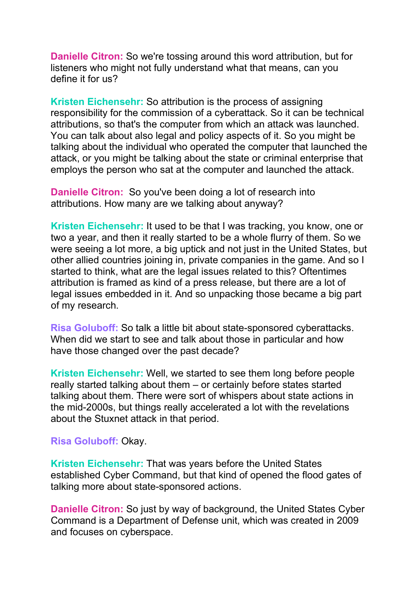**Danielle Citron:** So we're tossing around this word attribution, but for listeners who might not fully understand what that means, can you define it for us?

**Kristen Eichensehr:** So attribution is the process of assigning responsibility for the commission of a cyberattack. So it can be technical attributions, so that's the computer from which an attack was launched. You can talk about also legal and policy aspects of it. So you might be talking about the individual who operated the computer that launched the attack, or you might be talking about the state or criminal enterprise that employs the person who sat at the computer and launched the attack.

**Danielle Citron:** So you've been doing a lot of research into attributions. How many are we talking about anyway?

**Kristen Eichensehr:** It used to be that I was tracking, you know, one or two a year, and then it really started to be a whole flurry of them. So we were seeing a lot more, a big uptick and not just in the United States, but other allied countries joining in, private companies in the game. And so I started to think, what are the legal issues related to this? Oftentimes attribution is framed as kind of a press release, but there are a lot of legal issues embedded in it. And so unpacking those became a big part of my research.

**Risa Goluboff:** So talk a little bit about state-sponsored cyberattacks. When did we start to see and talk about those in particular and how have those changed over the past decade?

**Kristen Eichensehr:** Well, we started to see them long before people really started talking about them – or certainly before states started talking about them. There were sort of whispers about state actions in the mid-2000s, but things really accelerated a lot with the revelations about the Stuxnet attack in that period.

**Risa Goluboff:** Okay.

**Kristen Eichensehr:** That was years before the United States established Cyber Command, but that kind of opened the flood gates of talking more about state-sponsored actions.

**Danielle Citron:** So just by way of background, the United States Cyber Command is a Department of Defense unit, which was created in 2009 and focuses on cyberspace.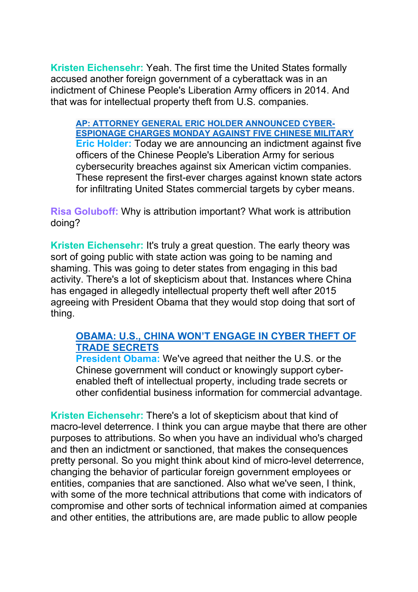**Kristen Eichensehr:** Yeah. The first time the United States formally accused another foreign government of a cyberattack was in an indictment of Chinese People's Liberation Army officers in 2014. And that was for intellectual property theft from U.S. companies.

**AP: ATTORNEY GENERAL ERIC HOLDER [ANNOUNCED](https://www.youtube.com/watch?v=AO3dKUBV1NE) CYBER-[ESPIONAGE](https://www.youtube.com/watch?v=AO3dKUBV1NE) CHARGES MONDAY AGAINST FIVE CHINESE MILITARY Eric Holder:** Today we are announcing an indictment against five officers of the Chinese People's Liberation Army for serious cybersecurity breaches against six American victim companies. These represent the first-ever charges against known state actors for infiltrating United States commercial targets by cyber means.

**Risa Goluboff:** Why is attribution important? What work is attribution doing?

**Kristen Eichensehr:** It's truly a great question. The early theory was sort of going public with state action was going to be naming and shaming. This was going to deter states from engaging in this bad activity. There's a lot of skepticism about that. Instances where China has engaged in allegedly intellectual property theft well after 2015 agreeing with President Obama that they would stop doing that sort of thing.

### **OBAMA: U.S., CHINA WON'T [ENGAGE](https://www.youtube.com/watch?v=_Z3hJ_0CXqo) IN CYBER THEFT OF TRADE [SECRETS](https://www.youtube.com/watch?v=_Z3hJ_0CXqo)**

**President Obama:** We've agreed that neither the U.S. or the Chinese government will conduct or knowingly support cyberenabled theft of intellectual property, including trade secrets or other confidential business information for commercial advantage.

**Kristen Eichensehr:** There's a lot of skepticism about that kind of macro-level deterrence. I think you can argue maybe that there are other purposes to attributions. So when you have an individual who's charged and then an indictment or sanctioned, that makes the consequences pretty personal. So you might think about kind of micro-level deterrence, changing the behavior of particular foreign government employees or entities, companies that are sanctioned. Also what we've seen, I think, with some of the more technical attributions that come with indicators of compromise and other sorts of technical information aimed at companies and other entities, the attributions are, are made public to allow people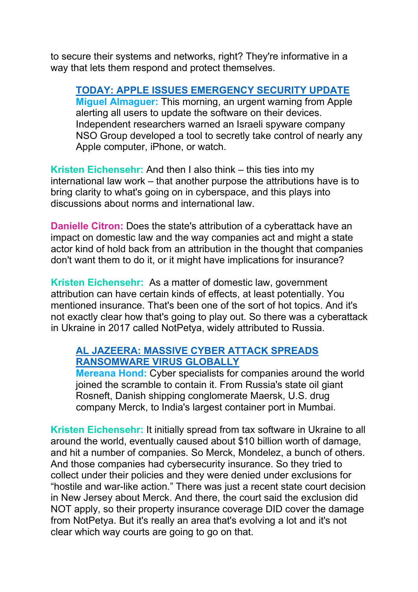to secure their systems and networks, right? They're informative in a way that lets them respond and protect themselves.

**TODAY: APPLE ISSUES [EMERGENCY](https://www.youtube.com/watch?v=KBIvKUw2Kro) SECURITY UPDATE Miguel Almaguer:** This morning, an urgent warning from Apple alerting all users to update the software on their devices. Independent researchers warned an Israeli spyware company NSO Group developed a tool to secretly take control of nearly any Apple computer, iPhone, or watch.

**Kristen Eichensehr:** And then I also think – this ties into my international law work – that another purpose the attributions have is to bring clarity to what's going on in cyberspace, and this plays into discussions about norms and international law.

**Danielle Citron:** Does the state's attribution of a cyberattack have an impact on domestic law and the way companies act and might a state actor kind of hold back from an attribution in the thought that companies don't want them to do it, or it might have implications for insurance?

**Kristen Eichensehr:** As a matter of domestic law, government attribution can have certain kinds of effects, at least potentially. You mentioned insurance. That's been one of the sort of hot topics. And it's not exactly clear how that's going to play out. So there was a cyberattack in Ukraine in 2017 called NotPetya, widely attributed to Russia.

# **AL [JAZEERA:](https://www.youtube.com/watch?v=h-aWCeuvUpQ) MASSIVE CYBER ATTACK SPREADS [RANSOMWARE](https://www.youtube.com/watch?v=h-aWCeuvUpQ) VIRUS GLOBALLY**

**Mereana Hond:** Cyber specialists for companies around the world joined the scramble to contain it. From Russia's state oil giant Rosneft, Danish shipping conglomerate Maersk, U.S. drug company Merck, to India's largest container port in Mumbai.

**Kristen Eichensehr:** It initially spread from tax software in Ukraine to all around the world, eventually caused about \$10 billion worth of damage, and hit a number of companies. So Merck, Mondelez, a bunch of others. And those companies had cybersecurity insurance. So they tried to collect under their policies and they were denied under exclusions for "hostile and war-like action." There was just a recent state court decision in New Jersey about Merck. And there, the court said the exclusion did NOT apply, so their property insurance coverage DID cover the damage from NotPetya. But it's really an area that's evolving a lot and it's not clear which way courts are going to go on that.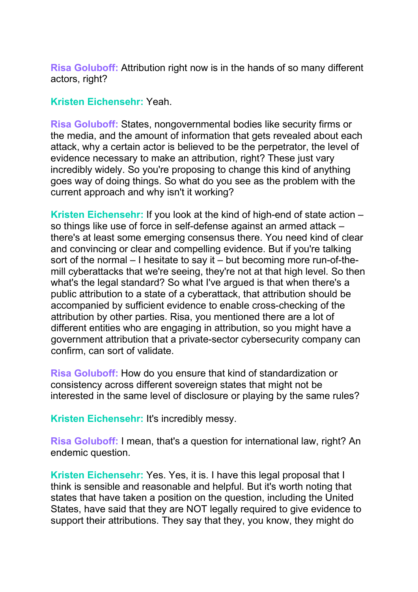**Risa Goluboff:** Attribution right now is in the hands of so many different actors, right?

#### **Kristen Eichensehr:** Yeah.

**Risa Goluboff:** States, nongovernmental bodies like security firms or the media, and the amount of information that gets revealed about each attack, why a certain actor is believed to be the perpetrator, the level of evidence necessary to make an attribution, right? These just vary incredibly widely. So you're proposing to change this kind of anything goes way of doing things. So what do you see as the problem with the current approach and why isn't it working?

**Kristen Eichensehr:** If you look at the kind of high-end of state action – so things like use of force in self-defense against an armed attack – there's at least some emerging consensus there. You need kind of clear and convincing or clear and compelling evidence. But if you're talking sort of the normal – I hesitate to say it – but becoming more run-of-themill cyberattacks that we're seeing, they're not at that high level. So then what's the legal standard? So what I've argued is that when there's a public attribution to a state of a cyberattack, that attribution should be accompanied by sufficient evidence to enable cross-checking of the attribution by other parties. Risa, you mentioned there are a lot of different entities who are engaging in attribution, so you might have a government attribution that a private-sector cybersecurity company can confirm, can sort of validate.

**Risa Goluboff:** How do you ensure that kind of standardization or consistency across different sovereign states that might not be interested in the same level of disclosure or playing by the same rules?

**Kristen Eichensehr:** It's incredibly messy.

**Risa Goluboff:** I mean, that's a question for international law, right? An endemic question.

**Kristen Eichensehr:** Yes. Yes, it is. I have this legal proposal that I think is sensible and reasonable and helpful. But it's worth noting that states that have taken a position on the question, including the United States, have said that they are NOT legally required to give evidence to support their attributions. They say that they, you know, they might do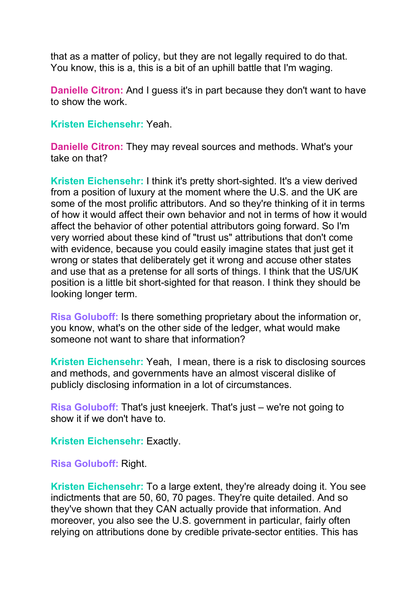that as a matter of policy, but they are not legally required to do that. You know, this is a, this is a bit of an uphill battle that I'm waging.

**Danielle Citron:** And I guess it's in part because they don't want to have to show the work.

**Kristen Eichensehr:** Yeah.

**Danielle Citron:** They may reveal sources and methods. What's your take on that?

**Kristen Eichensehr:** I think it's pretty short-sighted. It's a view derived from a position of luxury at the moment where the U.S. and the UK are some of the most prolific attributors. And so they're thinking of it in terms of how it would affect their own behavior and not in terms of how it would affect the behavior of other potential attributors going forward. So I'm very worried about these kind of "trust us" attributions that don't come with evidence, because you could easily imagine states that just get it wrong or states that deliberately get it wrong and accuse other states and use that as a pretense for all sorts of things. I think that the US/UK position is a little bit short-sighted for that reason. I think they should be looking longer term.

**Risa Goluboff:** Is there something proprietary about the information or, you know, what's on the other side of the ledger, what would make someone not want to share that information?

**Kristen Eichensehr:** Yeah, I mean, there is a risk to disclosing sources and methods, and governments have an almost visceral dislike of publicly disclosing information in a lot of circumstances.

**Risa Goluboff:** That's just kneejerk. That's just – we're not going to show it if we don't have to.

**Kristen Eichensehr:** Exactly.

**Risa Goluboff:** Right.

**Kristen Eichensehr:** To a large extent, they're already doing it. You see indictments that are 50, 60, 70 pages. They're quite detailed. And so they've shown that they CAN actually provide that information. And moreover, you also see the U.S. government in particular, fairly often relying on attributions done by credible private-sector entities. This has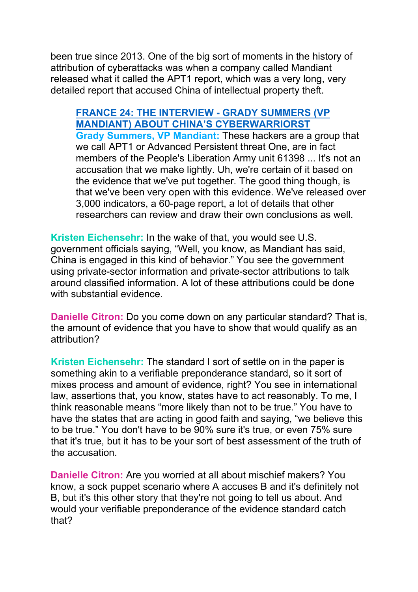been true since 2013. One of the big sort of moments in the history of attribution of cyberattacks was when a company called Mandiant released what it called the APT1 report, which was a very long, very detailed report that accused China of intellectual property theft.

**FRANCE 24: THE INTERVIEW - GRADY SUMMERS (VP MANDIANT) ABOUT CHINA'S CYBERWARRIORST Grady Summers, VP Mandiant:** These hackers are a group that we call APT1 or Advanced Persistent threat One, are in fact members of the People's Liberation Army unit 61398 ... It's not an accusation that we make lightly. Uh, we're certain of it based on the evidence that we've put together. The good thing though, is that we've been very open with this evidence. We've released over 3,000 indicators, a 60-page report, a lot of details that other researchers can review and draw their own conclusions as well.

**Kristen Eichensehr:** In the wake of that, you would see U.S. government officials saying, "Well, you know, as Mandiant has said, China is engaged in this kind of behavior." You see the government using private-sector information and private-sector attributions to talk around classified information. A lot of these attributions could be done with substantial evidence.

**Danielle Citron:** Do you come down on any particular standard? That is, the amount of evidence that you have to show that would qualify as an attribution?

**Kristen Eichensehr:** The standard I sort of settle on in the paper is something akin to a verifiable preponderance standard, so it sort of mixes process and amount of evidence, right? You see in international law, assertions that, you know, states have to act reasonably. To me, I think reasonable means "more likely than not to be true." You have to have the states that are acting in good faith and saying, "we believe this to be true." You don't have to be 90% sure it's true, or even 75% sure that it's true, but it has to be your sort of best assessment of the truth of the accusation.

**Danielle Citron:** Are you worried at all about mischief makers? You know, a sock puppet scenario where A accuses B and it's definitely not B, but it's this other story that they're not going to tell us about. And would your verifiable preponderance of the evidence standard catch that?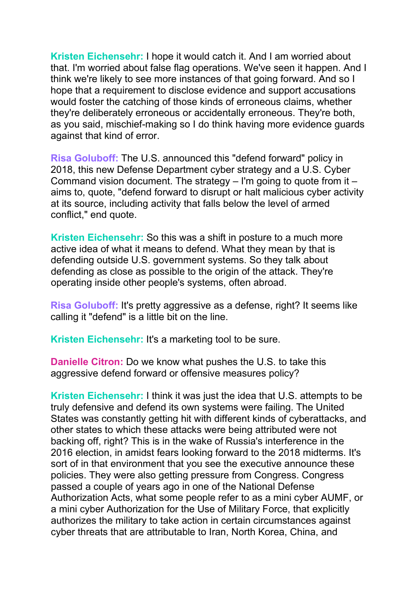**Kristen Eichensehr:** I hope it would catch it. And I am worried about that. I'm worried about false flag operations. We've seen it happen. And I think we're likely to see more instances of that going forward. And so I hope that a requirement to disclose evidence and support accusations would foster the catching of those kinds of erroneous claims, whether they're deliberately erroneous or accidentally erroneous. They're both, as you said, mischief-making so I do think having more evidence guards against that kind of error.

**Risa Goluboff:** The U.S. announced this "defend forward" policy in 2018, this new Defense Department cyber strategy and a U.S. Cyber Command vision document. The strategy – I'm going to quote from it – aims to, quote, "defend forward to disrupt or halt malicious cyber activity at its source, including activity that falls below the level of armed conflict," end quote.

**Kristen Eichensehr:** So this was a shift in posture to a much more active idea of what it means to defend. What they mean by that is defending outside U.S. government systems. So they talk about defending as close as possible to the origin of the attack. They're operating inside other people's systems, often abroad.

**Risa Goluboff:** It's pretty aggressive as a defense, right? It seems like calling it "defend" is a little bit on the line.

**Kristen Eichensehr:** It's a marketing tool to be sure.

**Danielle Citron:** Do we know what pushes the U.S. to take this aggressive defend forward or offensive measures policy?

**Kristen Eichensehr:** I think it was just the idea that U.S. attempts to be truly defensive and defend its own systems were failing. The United States was constantly getting hit with different kinds of cyberattacks, and other states to which these attacks were being attributed were not backing off, right? This is in the wake of Russia's interference in the 2016 election, in amidst fears looking forward to the 2018 midterms. It's sort of in that environment that you see the executive announce these policies. They were also getting pressure from Congress. Congress passed a couple of years ago in one of the National Defense Authorization Acts, what some people refer to as a mini cyber AUMF, or a mini cyber Authorization for the Use of Military Force, that explicitly authorizes the military to take action in certain circumstances against cyber threats that are attributable to Iran, North Korea, China, and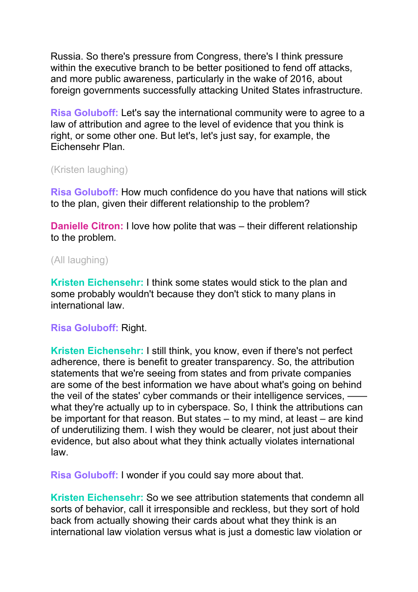Russia. So there's pressure from Congress, there's I think pressure within the executive branch to be better positioned to fend off attacks, and more public awareness, particularly in the wake of 2016, about foreign governments successfully attacking United States infrastructure.

**Risa Goluboff:** Let's say the international community were to agree to a law of attribution and agree to the level of evidence that you think is right, or some other one. But let's, let's just say, for example, the Eichensehr Plan.

(Kristen laughing)

**Risa Goluboff:** How much confidence do you have that nations will stick to the plan, given their different relationship to the problem?

**Danielle Citron:** I love how polite that was – their different relationship to the problem.

### (All laughing)

**Kristen Eichensehr:** I think some states would stick to the plan and some probably wouldn't because they don't stick to many plans in international law.

#### **Risa Goluboff:** Right.

**Kristen Eichensehr:** I still think, you know, even if there's not perfect adherence, there is benefit to greater transparency. So, the attribution statements that we're seeing from states and from private companies are some of the best information we have about what's going on behind the veil of the states' cyber commands or their intelligence services,  $$ what they're actually up to in cyberspace. So, I think the attributions can be important for that reason. But states – to my mind, at least – are kind of underutilizing them. I wish they would be clearer, not just about their evidence, but also about what they think actually violates international law.

**Risa Goluboff:** I wonder if you could say more about that.

**Kristen Eichensehr:** So we see attribution statements that condemn all sorts of behavior, call it irresponsible and reckless, but they sort of hold back from actually showing their cards about what they think is an international law violation versus what is just a domestic law violation or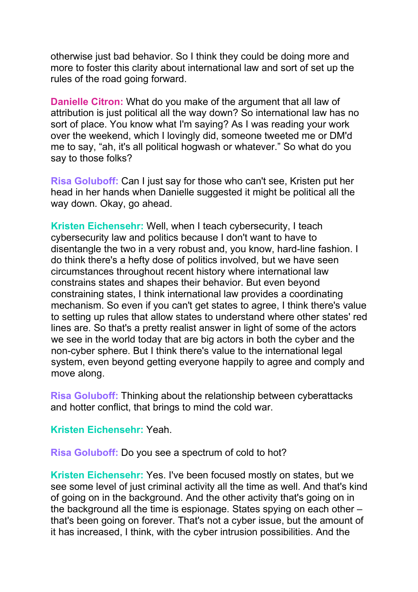otherwise just bad behavior. So I think they could be doing more and more to foster this clarity about international law and sort of set up the rules of the road going forward.

**Danielle Citron:** What do you make of the argument that all law of attribution is just political all the way down? So international law has no sort of place. You know what I'm saying? As I was reading your work over the weekend, which I lovingly did, someone tweeted me or DM'd me to say, "ah, it's all political hogwash or whatever." So what do you say to those folks?

**Risa Goluboff:** Can I just say for those who can't see, Kristen put her head in her hands when Danielle suggested it might be political all the way down. Okay, go ahead.

**Kristen Eichensehr:** Well, when I teach cybersecurity, I teach cybersecurity law and politics because I don't want to have to disentangle the two in a very robust and, you know, hard-line fashion. I do think there's a hefty dose of politics involved, but we have seen circumstances throughout recent history where international law constrains states and shapes their behavior. But even beyond constraining states, I think international law provides a coordinating mechanism. So even if you can't get states to agree, I think there's value to setting up rules that allow states to understand where other states' red lines are. So that's a pretty realist answer in light of some of the actors we see in the world today that are big actors in both the cyber and the non-cyber sphere. But I think there's value to the international legal system, even beyond getting everyone happily to agree and comply and move along.

**Risa Goluboff:** Thinking about the relationship between cyberattacks and hotter conflict, that brings to mind the cold war.

**Kristen Eichensehr:** Yeah.

**Risa Goluboff:** Do you see a spectrum of cold to hot?

**Kristen Eichensehr:** Yes. I've been focused mostly on states, but we see some level of just criminal activity all the time as well. And that's kind of going on in the background. And the other activity that's going on in the background all the time is espionage. States spying on each other – that's been going on forever. That's not a cyber issue, but the amount of it has increased, I think, with the cyber intrusion possibilities. And the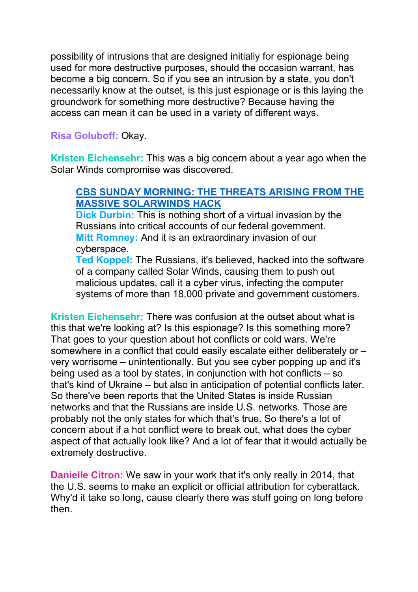possibility of intrusions that are designed initially for espionage being used for more destructive purposes, should the occasion warrant, has become a big concern. So if you see an intrusion by a state, you don't necessarily know at the outset, is this just espionage or is this laying the groundwork for something more destructive? Because having the access can mean it can be used in a variety of different ways.

**Risa Goluboff:** Okay.

**Kristen Eichensehr:** This was a big concern about a year ago when the Solar Winds compromise was discovered.

## **CBS SUNDAY [MORNING:](https://www.youtube.com/watch?v=E390AhlOcSo) THE THREATS ARISING FROM THE MASSIVE [SOLARWINDS](https://www.youtube.com/watch?v=E390AhlOcSo) HACK**

**Dick Durbin:** This is nothing short of a virtual invasion by the Russians into critical accounts of our federal government. **Mitt Romney:** And it is an extraordinary invasion of our cyberspace.

**Ted Koppel:** The Russians, it's believed, hacked into the software of a company called Solar Winds, causing them to push out malicious updates, call it a cyber virus, infecting the computer systems of more than 18,000 private and government customers.

**Kristen Eichensehr:** There was confusion at the outset about what is this that we're looking at? Is this espionage? Is this something more? That goes to your question about hot conflicts or cold wars. We're somewhere in a conflict that could easily escalate either deliberately or – very worrisome – unintentionally. But you see cyber popping up and it's being used as a tool by states, in conjunction with hot conflicts – so that's kind of Ukraine – but also in anticipation of potential conflicts later. So there've been reports that the United States is inside Russian networks and that the Russians are inside U.S. networks. Those are probably not the only states for which that's true. So there's a lot of concern about if a hot conflict were to break out, what does the cyber aspect of that actually look like? And a lot of fear that it would actually be extremely destructive.

**Danielle Citron:** We saw in your work that it's only really in 2014, that the U.S. seems to make an explicit or official attribution for cyberattack. Why'd it take so long, cause clearly there was stuff going on long before then.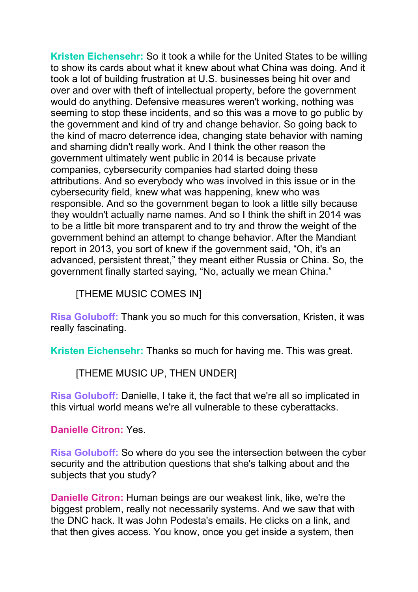**Kristen Eichensehr:** So it took a while for the United States to be willing to show its cards about what it knew about what China was doing. And it took a lot of building frustration at U.S. businesses being hit over and over and over with theft of intellectual property, before the government would do anything. Defensive measures weren't working, nothing was seeming to stop these incidents, and so this was a move to go public by the government and kind of try and change behavior. So going back to the kind of macro deterrence idea, changing state behavior with naming and shaming didn't really work. And I think the other reason the government ultimately went public in 2014 is because private companies, cybersecurity companies had started doing these attributions. And so everybody who was involved in this issue or in the cybersecurity field, knew what was happening, knew who was responsible. And so the government began to look a little silly because they wouldn't actually name names. And so I think the shift in 2014 was to be a little bit more transparent and to try and throw the weight of the government behind an attempt to change behavior. After the Mandiant report in 2013, you sort of knew if the government said, "Oh, it's an advanced, persistent threat," they meant either Russia or China. So, the government finally started saying, "No, actually we mean China."

[THEME MUSIC COMES IN]

**Risa Goluboff:** Thank you so much for this conversation, Kristen, it was really fascinating.

**Kristen Eichensehr:** Thanks so much for having me. This was great.

[THEME MUSIC UP, THEN UNDER]

**Risa Goluboff:** Danielle, I take it, the fact that we're all so implicated in this virtual world means we're all vulnerable to these cyberattacks.

**Danielle Citron:** Yes.

**Risa Goluboff:** So where do you see the intersection between the cyber security and the attribution questions that she's talking about and the subjects that you study?

**Danielle Citron:** Human beings are our weakest link, like, we're the biggest problem, really not necessarily systems. And we saw that with the DNC hack. It was John Podesta's emails. He clicks on a link, and that then gives access. You know, once you get inside a system, then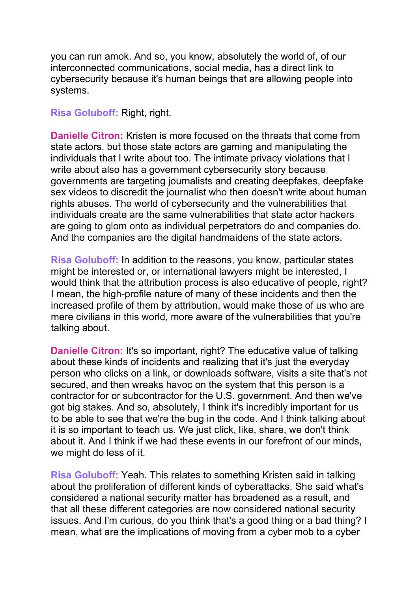you can run amok. And so, you know, absolutely the world of, of our interconnected communications, social media, has a direct link to cybersecurity because it's human beings that are allowing people into systems.

**Risa Goluboff:** Right, right.

**Danielle Citron:** Kristen is more focused on the threats that come from state actors, but those state actors are gaming and manipulating the individuals that I write about too. The intimate privacy violations that I write about also has a government cybersecurity story because governments are targeting journalists and creating deepfakes, deepfake sex videos to discredit the journalist who then doesn't write about human rights abuses. The world of cybersecurity and the vulnerabilities that individuals create are the same vulnerabilities that state actor hackers are going to glom onto as individual perpetrators do and companies do. And the companies are the digital handmaidens of the state actors.

**Risa Goluboff:** In addition to the reasons, you know, particular states might be interested or, or international lawyers might be interested, I would think that the attribution process is also educative of people, right? I mean, the high-profile nature of many of these incidents and then the increased profile of them by attribution, would make those of us who are mere civilians in this world, more aware of the vulnerabilities that you're talking about.

**Danielle Citron:** It's so important, right? The educative value of talking about these kinds of incidents and realizing that it's just the everyday person who clicks on a link, or downloads software, visits a site that's not secured, and then wreaks havoc on the system that this person is a contractor for or subcontractor for the U.S. government. And then we've got big stakes. And so, absolutely, I think it's incredibly important for us to be able to see that we're the bug in the code. And I think talking about it is so important to teach us. We just click, like, share, we don't think about it. And I think if we had these events in our forefront of our minds, we might do less of it.

**Risa Goluboff:** Yeah. This relates to something Kristen said in talking about the proliferation of different kinds of cyberattacks. She said what's considered a national security matter has broadened as a result, and that all these different categories are now considered national security issues. And I'm curious, do you think that's a good thing or a bad thing? I mean, what are the implications of moving from a cyber mob to a cyber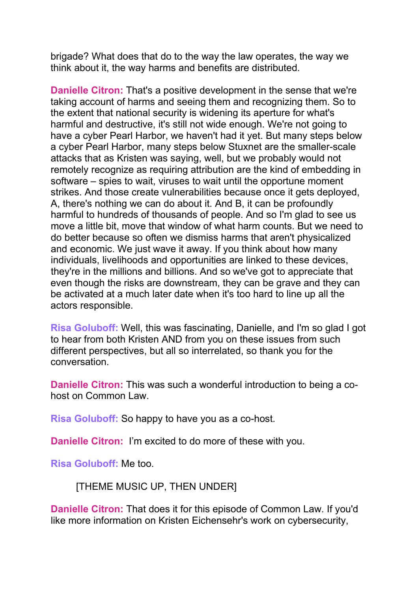brigade? What does that do to the way the law operates, the way we think about it, the way harms and benefits are distributed.

**Danielle Citron:** That's a positive development in the sense that we're taking account of harms and seeing them and recognizing them. So to the extent that national security is widening its aperture for what's harmful and destructive, it's still not wide enough. We're not going to have a cyber Pearl Harbor, we haven't had it yet. But many steps below a cyber Pearl Harbor, many steps below Stuxnet are the smaller-scale attacks that as Kristen was saying, well, but we probably would not remotely recognize as requiring attribution are the kind of embedding in software – spies to wait, viruses to wait until the opportune moment strikes. And those create vulnerabilities because once it gets deployed, A, there's nothing we can do about it. And B, it can be profoundly harmful to hundreds of thousands of people. And so I'm glad to see us move a little bit, move that window of what harm counts. But we need to do better because so often we dismiss harms that aren't physicalized and economic. We just wave it away. If you think about how many individuals, livelihoods and opportunities are linked to these devices, they're in the millions and billions. And so we've got to appreciate that even though the risks are downstream, they can be grave and they can be activated at a much later date when it's too hard to line up all the actors responsible.

**Risa Goluboff:** Well, this was fascinating, Danielle, and I'm so glad I got to hear from both Kristen AND from you on these issues from such different perspectives, but all so interrelated, so thank you for the conversation.

**Danielle Citron:** This was such a wonderful introduction to being a cohost on Common Law.

**Risa Goluboff:** So happy to have you as a co-host.

**Danielle Citron:** I'm excited to do more of these with you.

**Risa Goluboff:** Me too.

[THEME MUSIC UP, THEN UNDER]

**Danielle Citron:** That does it for this episode of Common Law. If you'd like more information on Kristen Eichensehr's work on cybersecurity,